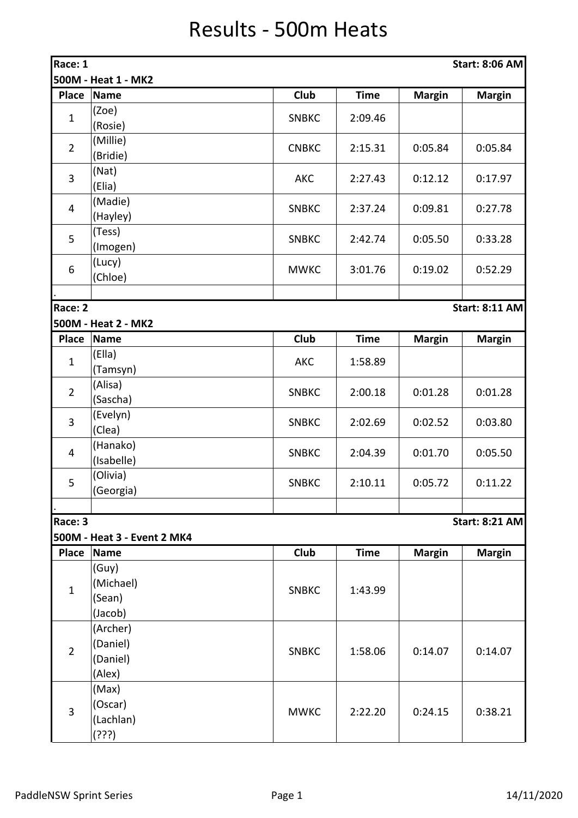## Results - 500m Heats

| Race: 1<br><b>Start: 8:06 AM</b> |                             |              |             |               |                       |  |  |
|----------------------------------|-----------------------------|--------------|-------------|---------------|-----------------------|--|--|
| 500M - Heat 1 - MK2              |                             |              |             |               |                       |  |  |
| <b>Place</b>                     | <b>Name</b>                 | Club         | <b>Time</b> | <b>Margin</b> | <b>Margin</b>         |  |  |
| $\mathbf{1}$                     | (Zoe)                       | <b>SNBKC</b> | 2:09.46     |               |                       |  |  |
|                                  | (Rosie)                     |              |             |               |                       |  |  |
| $\overline{2}$                   | (Millie)                    | <b>CNBKC</b> | 2:15.31     | 0:05.84       | 0:05.84               |  |  |
|                                  | (Bridie)                    |              |             |               |                       |  |  |
| $\overline{3}$                   | (Nat)                       | <b>AKC</b>   | 2:27.43     | 0:12.12       | 0:17.97               |  |  |
|                                  | (Elia)                      |              |             |               |                       |  |  |
| $\overline{\mathbf{4}}$          | (Madie)                     | <b>SNBKC</b> | 2:37.24     | 0:09.81       | 0:27.78               |  |  |
|                                  | (Hayley)                    |              |             |               |                       |  |  |
| 5                                | (Tess)                      | <b>SNBKC</b> | 2:42.74     | 0:05.50       | 0:33.28               |  |  |
|                                  | (Imogen)                    |              |             |               |                       |  |  |
| 6                                | (Lucy)<br>(Chloe)           | <b>MWKC</b>  | 3:01.76     | 0:19.02       | 0:52.29               |  |  |
|                                  |                             |              |             |               |                       |  |  |
| Race: 2                          |                             |              |             |               | <b>Start: 8:11 AM</b> |  |  |
|                                  | 500M - Heat 2 - MK2         |              |             |               |                       |  |  |
| <b>Place</b>                     | <b>Name</b>                 | Club         | <b>Time</b> | <b>Margin</b> | <b>Margin</b>         |  |  |
|                                  | (Ella)                      |              |             |               |                       |  |  |
| $\mathbf{1}$                     | (Tamsyn)                    | <b>AKC</b>   | 1:58.89     |               |                       |  |  |
| $\overline{2}$                   | (Alisa)                     | <b>SNBKC</b> | 2:00.18     | 0:01.28       | 0:01.28               |  |  |
|                                  | (Sascha)                    |              |             |               |                       |  |  |
| 3                                | (Evelyn)                    | <b>SNBKC</b> | 2:02.69     | 0:02.52       | 0:03.80               |  |  |
|                                  | (Clea)                      |              |             |               |                       |  |  |
| $\overline{\mathbf{4}}$          | (Hanako)                    | <b>SNBKC</b> | 2:04.39     | 0:01.70       | 0:05.50               |  |  |
|                                  | (Isabelle)                  |              |             |               |                       |  |  |
| 5                                | (Olivia)                    | <b>SNBKC</b> | 2:10.11     | 0:05.72       | 0:11.22               |  |  |
|                                  | (Georgia)                   |              |             |               |                       |  |  |
| Race: 3                          |                             |              |             |               | <b>Start: 8:21 AM</b> |  |  |
|                                  | 500M - Heat 3 - Event 2 MK4 |              |             |               |                       |  |  |
| <b>Place</b>                     | <b>Name</b>                 | <b>Club</b>  | <b>Time</b> | <b>Margin</b> | <b>Margin</b>         |  |  |
|                                  | (Guy)                       |              |             |               |                       |  |  |
|                                  | (Michael)                   |              |             |               |                       |  |  |
| $\mathbf{1}$                     | (Sean)                      | <b>SNBKC</b> | 1:43.99     |               |                       |  |  |
|                                  | (Jacob)                     |              |             |               |                       |  |  |
|                                  | (Archer)                    |              |             |               |                       |  |  |
| $\overline{2}$                   | (Daniel)                    | <b>SNBKC</b> | 1:58.06     | 0:14.07       | 0:14.07               |  |  |
|                                  | (Daniel)                    |              |             |               |                       |  |  |
|                                  | (Alex)                      |              |             |               |                       |  |  |
| $\overline{3}$                   | (Max)                       |              |             |               |                       |  |  |
|                                  | (Oscar)                     | <b>MWKC</b>  | 2:22.20     | 0:24.15       | 0:38.21               |  |  |
|                                  | (Lachlan)                   |              |             |               |                       |  |  |
|                                  | (???)                       |              |             |               |                       |  |  |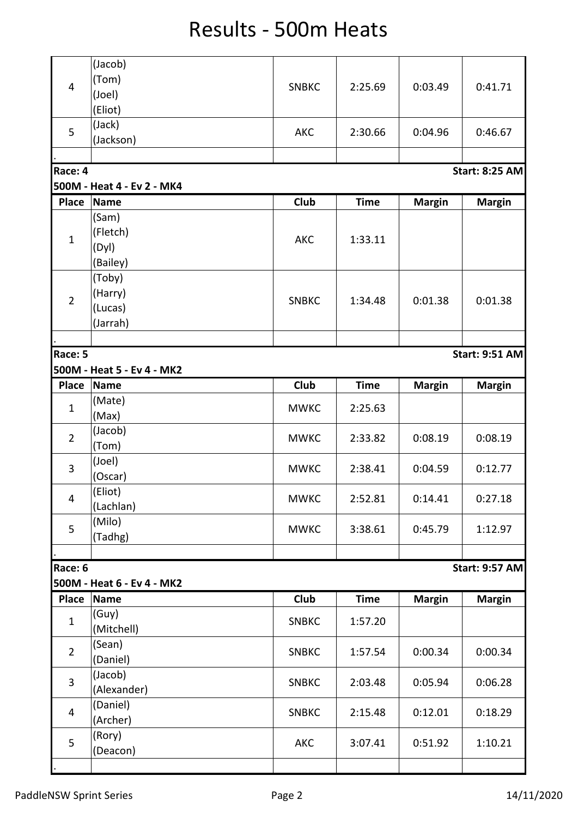## Results - 500m Heats

| $\overline{4}$ | (Jacob)                    |              |             |               |                       |
|----------------|----------------------------|--------------|-------------|---------------|-----------------------|
|                | (Tom)                      |              |             | 0:03.49       |                       |
|                | (Joel)                     | <b>SNBKC</b> | 2:25.69     |               | 0:41.71               |
|                | (Eliot)                    |              |             |               |                       |
| 5              | (Jack)                     |              |             |               |                       |
|                | (Jackson)                  | <b>AKC</b>   | 2:30.66     | 0:04.96       | 0:46.67               |
|                |                            |              |             |               |                       |
| Race: 4        |                            |              |             |               | <b>Start: 8:25 AM</b> |
|                | 500M - Heat 4 - Ev 2 - MK4 |              |             |               |                       |
|                |                            |              |             |               |                       |
| <b>Place</b>   | <b>Name</b>                | Club         | <b>Time</b> | <b>Margin</b> | <b>Margin</b>         |
|                | (Sam)                      |              |             |               |                       |
| $\mathbf{1}$   | (Fletch)                   | <b>AKC</b>   | 1:33.11     |               |                       |
|                | (Dyl)                      |              |             |               |                       |
|                | (Bailey)                   |              |             |               |                       |
|                | (Toby)                     |              |             |               |                       |
|                | (Harry)                    |              |             |               |                       |
| $\overline{2}$ | (Lucas)                    | <b>SNBKC</b> | 1:34.48     | 0:01.38       | 0:01.38               |
|                | (Jarrah)                   |              |             |               |                       |
|                |                            |              |             |               |                       |
| Race: 5        |                            |              |             |               | <b>Start: 9:51 AM</b> |
|                | 500M - Heat 5 - Ev 4 - MK2 |              |             |               |                       |
|                |                            |              |             |               |                       |
| <b>Place</b>   | <b>Name</b>                | Club         | <b>Time</b> | <b>Margin</b> | <b>Margin</b>         |
| $\mathbf{1}$   | (Mate)                     | <b>MWKC</b>  | 2:25.63     |               |                       |
|                | (Max)                      |              |             |               |                       |
| $\overline{2}$ | (Jacob)                    | <b>MWKC</b>  | 2:33.82     | 0:08.19       | 0:08.19               |
|                | (Tom)                      |              |             |               |                       |
| 3              | (Joel)                     | <b>MWKC</b>  | 2:38.41     | 0:04.59       | 0:12.77               |
|                | (Oscar)                    |              |             |               |                       |
|                | (Eliot)                    |              |             |               |                       |
| $\overline{4}$ | (Lachlan)                  | <b>MWKC</b>  | 2:52.81     | 0:14.41       | 0:27.18               |
|                | (Milo)                     |              |             |               |                       |
| 5              | (Tadhg)                    | <b>MWKC</b>  | 3:38.61     | 0:45.79       | 1:12.97               |
|                |                            |              |             |               |                       |
| Race: 6        |                            |              |             |               | <b>Start: 9:57 AM</b> |
|                | 500M - Heat 6 - Ev 4 - MK2 |              |             |               |                       |
|                |                            | <b>Club</b>  |             |               |                       |
| Place          | <b>Name</b>                |              | <b>Time</b> | <b>Margin</b> | <b>Margin</b>         |
| $\mathbf{1}$   | (Guy)                      | <b>SNBKC</b> | 1:57.20     |               |                       |
|                | (Mitchell)                 |              |             |               |                       |
| $\overline{2}$ | (Sean)                     | <b>SNBKC</b> | 1:57.54     | 0:00.34       | 0:00.34               |
|                | (Daniel)                   |              |             |               |                       |
|                | (Jacob)                    |              |             |               |                       |
| $\overline{3}$ | (Alexander)                | <b>SNBKC</b> | 2:03.48     | 0:05.94       | 0:06.28               |
| $\overline{4}$ | (Daniel)                   |              |             |               |                       |
|                | (Archer)                   | <b>SNBKC</b> | 2:15.48     | 0:12.01       | 0:18.29               |
|                | (Rory)                     |              |             |               |                       |
| 5              | (Deacon)                   | AKC          | 3:07.41     | 0:51.92       | 1:10.21               |
|                |                            |              |             |               |                       |
|                |                            |              |             |               |                       |